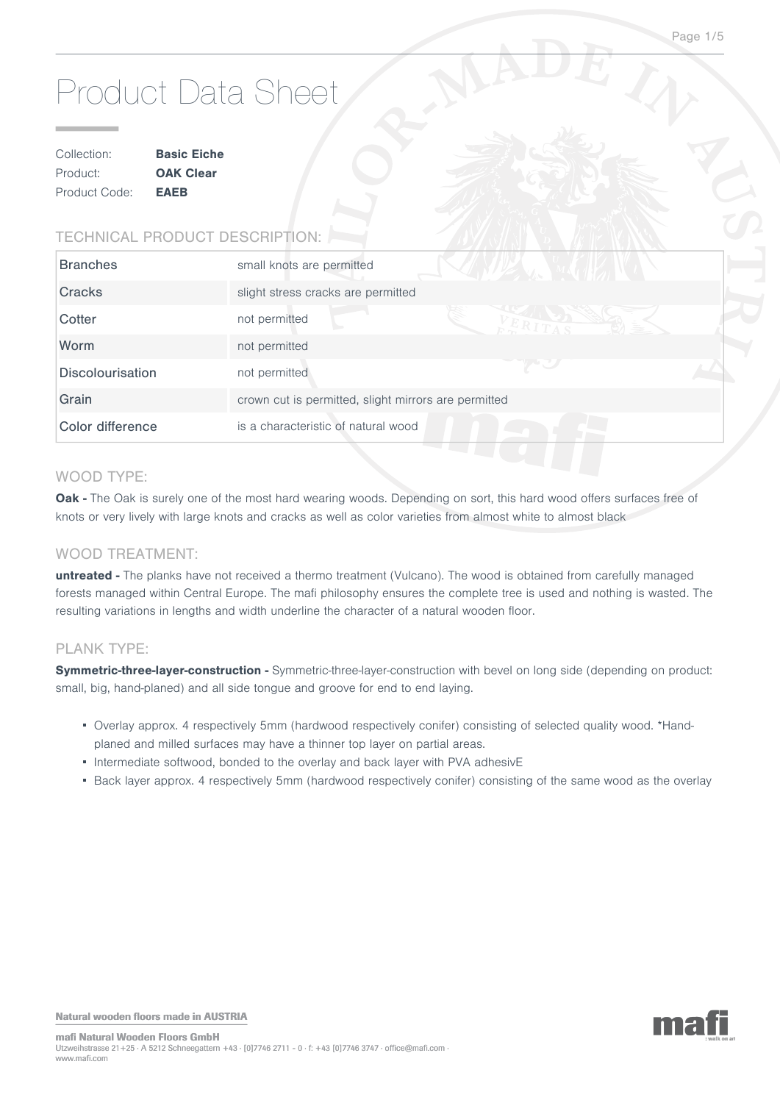# Product Data Sheet

| Collection:   | <b>Basic Eiche</b> |  |
|---------------|--------------------|--|
| Product:      | <b>OAK Clear</b>   |  |
| Product Code: | <b>EAEB</b>        |  |

# TECHNICAL PRODUCT DESCRIPTION:

| <b>Branches</b>         | small knots are permitted<br>$\mathcal{L} \times \mathcal{L} \times \mathcal{L}$ |  |
|-------------------------|----------------------------------------------------------------------------------|--|
| Cracks                  | slight stress cracks are permitted                                               |  |
| Cotter                  | not permitted                                                                    |  |
| Worm                    | not permitted                                                                    |  |
| <b>Discolourisation</b> | not permitted                                                                    |  |
| Grain                   | crown cut is permitted, slight mirrors are permitted                             |  |
| Color difference        | is a characteristic of natural wood                                              |  |

## WOOD TYPE:

Oak - The Oak is surely one of the most hard wearing woods. Depending on sort, this hard wood offers surfaces free of knots or very lively with large knots and cracks as well as color varieties from almost white to almost black

## WOOD TREATMENT:

**untreated -** The planks have not received a thermo treatment (Vulcano). The wood is obtained from carefully managed forests managed within Central Europe. The mafi philosophy ensures the complete tree is used and nothing is wasted. The resulting variations in lengths and width underline the character of a natural wooden floor.

### PLANK TYPE:

Symmetric-three-layer-construction - Symmetric-three-layer-construction with bevel on long side (depending on product: small, big, hand-planed) and all side tongue and groove for end to end laying.

- Overlay approx. 4 respectively 5mm (hardwood respectively conifer) consisting of selected quality wood. \*Handplaned and milled surfaces may have a thinner top layer on partial areas.
- Intermediate softwood, bonded to the overlay and back layer with PVA adhesivE
- Back layer approx. 4 respectively 5mm (hardwood respectively conifer) consisting of the same wood as the overlay

Natural wooden floors made in AUSTRIA

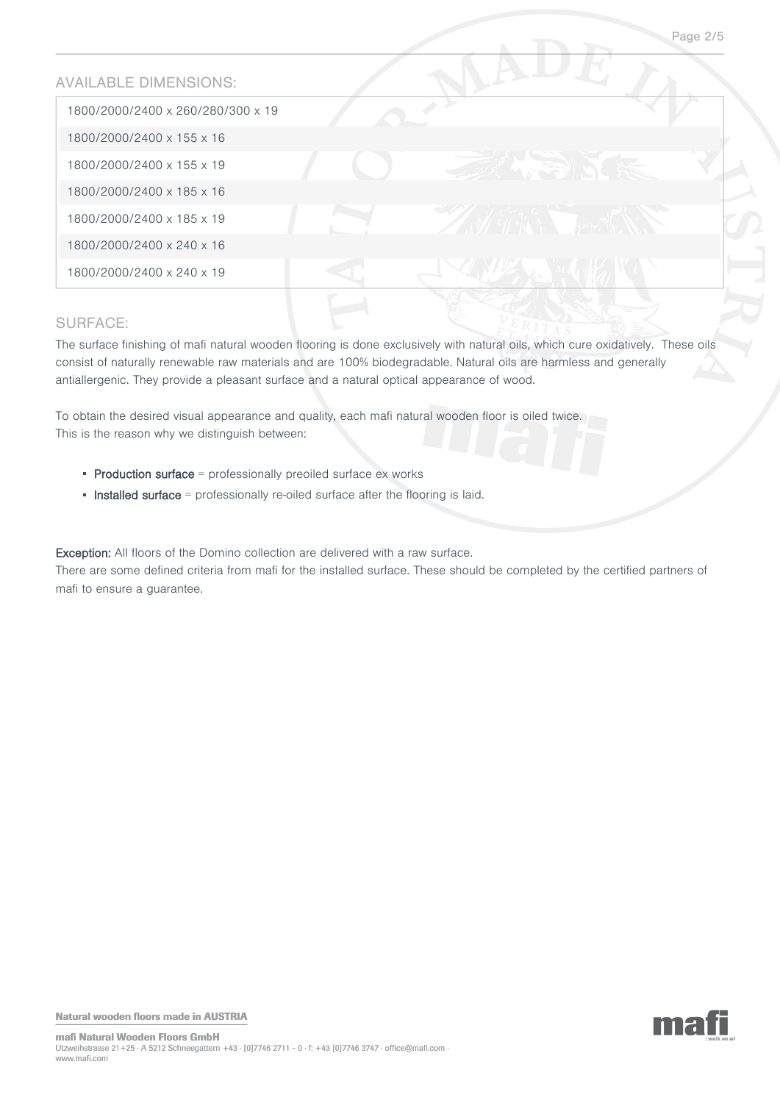## AVAILABLE DIMENSIONS:

| 1800/2000/2400 x 260/280/300 x 19 |  |  |
|-----------------------------------|--|--|
| 1800/2000/2400 x 155 x 16         |  |  |
| 1800/2000/2400 x 155 x 19         |  |  |
| 1800/2000/2400 x 185 x 16         |  |  |
| 1800/2000/2400 x 185 x 19         |  |  |
| 1800/2000/2400 x 240 x 16         |  |  |
| 1800/2000/2400 x 240 x 19         |  |  |

# SURFACE:

The surface finishing of mafi natural wooden flooring is done exclusively with natural oils, which cure oxidatively. These oils consist of naturally renewable raw materials and are 100% biodegradable. Natural oils are harmless and generally antiallergenic. They provide a pleasant surface and a natural optical appearance of wood.

To obtain the desired visual appearance and quality, each mafi natural wooden floor is oiled twice. This is the reason why we distinguish between:

- $\blacksquare$  Production surface  $\blacksquare$  professionally preoiled surface ex works
- **Installed surface** = professionally re-oiled surface after the flooring is laid.

Exception: All floors of the Domino collection are delivered with a raw surface. There are some defined criteria from mafi for the installed surface. These should be completed by the certified partners of mafi to ensure a guarantee.

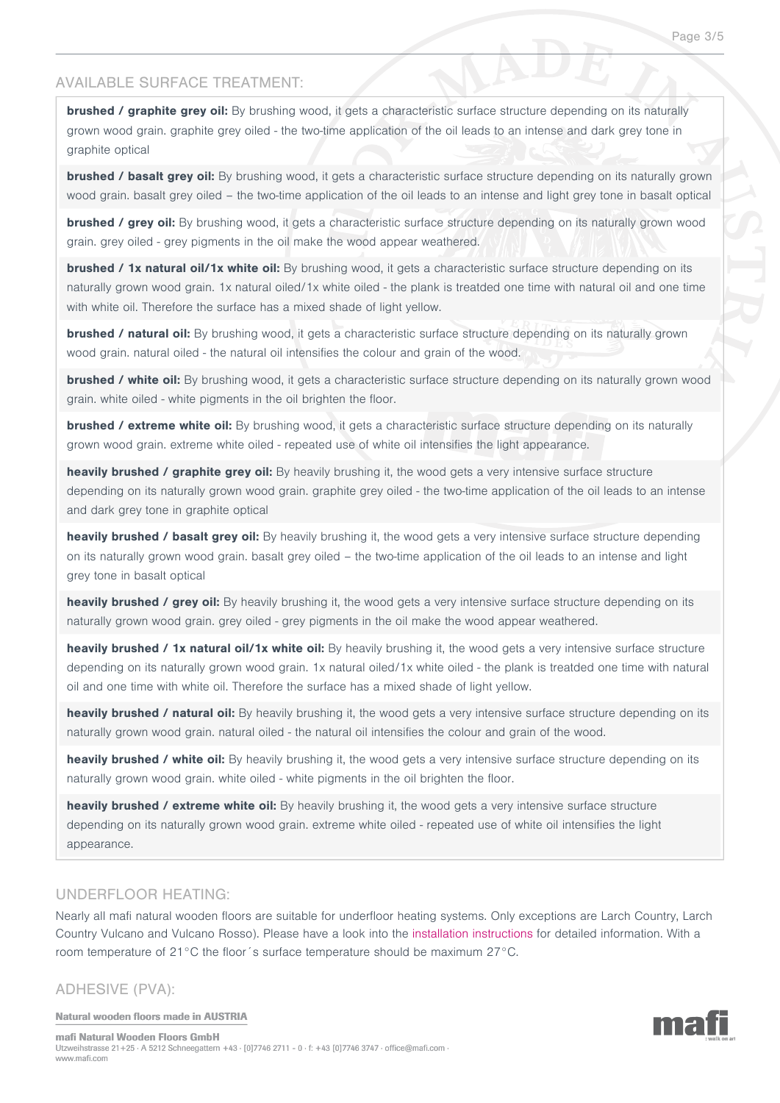## AVAILABLE SURFACE TREATMENT:

**brushed / graphite grey oil:** By brushing wood, it gets a characteristic surface structure depending on its naturally grown wood grain. graphite grey oiled - the two-time application of the oil leads to an intense and dark grey tone in graphite optical

**brushed / basalt grey oil:** By brushing wood, it gets a characteristic surface structure depending on its naturally grown wood grain, basalt grey oiled – the two-time application of the oil leads to an intense and light grey tone in basalt optical

**brushed / grey oil:** By brushing wood, it gets a characteristic surface structure depending on its naturally grown wood grain, grey oiled - grey pigments in the oil make the wood appear weathered.

**brushed / 1x natural oil/1x white oil:** By brushing wood, it gets a characteristic surface structure depending on its naturally grown wood grain. 1x natural oiled/1x white oiled - the plank is treatded one time with natural oil and one time with white oil. Therefore the surface has a mixed shade of light yellow.

**brushed / natural oil:** By brushing wood, it gets a characteristic surface structure depending on its naturally grown wood grain. natural oiled - the natural oil intensifies the colour and grain of the wood.

**brushed / white oil:** By brushing wood, it gets a characteristic surface structure depending on its naturally grown wood grain. white oiled - white pigments in the oil brighten the floor.

**brushed / extreme white oil:** By brushing wood, it gets a characteristic surface structure depending on its naturally grown wood grain. extreme white oiled - repeated use of white oil intensifies the light appearance.

**heavily brushed / graphite grey oil:** By heavily brushing it, the wood gets a very intensive surface structure depending on its naturally grown wood grain. graphite grey oiled - the two-time application of the oil leads to an intense and dark grey tone in graphite optical

**heavily brushed / basalt grey oil:** By heavily brushing it, the wood gets a very intensive surface structure depending on its naturally grown wood grain. basalt grey oiled – the two-time application of the oil leads to an intense and light grey tone in basalt optical

**heavily brushed / grey oil:** By heavily brushing it, the wood gets a very intensive surface structure depending on its naturally grown wood grain. grey oiled - grey pigments in the oil make the wood appear weathered.

**heavily brushed / 1x natural oil/1x white oil:** By heavily brushing it, the wood gets a very intensive surface structure depending on its naturally grown wood grain. 1x natural oiled/1x white oiled - the plank is treatded one time with natural oil and one time with white oil. Therefore the surface has a mixed shade of light yellow.

**heavily brushed / natural oil:** By heavily brushing it, the wood gets a very intensive surface structure depending on its naturally grown wood grain. natural oiled - the natural oil intensifies the colour and grain of the wood.

**heavily brushed / white oil:** By heavily brushing it, the wood gets a very intensive surface structure depending on its naturally grown wood grain. white oiled - white pigments in the oil brighten the floor.

**heavily brushed / extreme white oil:** By heavily brushing it, the wood gets a very intensive surface structure depending on its naturally grown wood grain. extreme white oiled - repeated use of white oil intensifies the light appearance.

### UNDERFLOOR HEATING:

Nearly all mafi natural wooden floors are suitable for underfloor heating systems. Only exceptions are Larch Country, Larch Country Vulcano and Vulcano Rosso). Please have a look into the [installation instructions](http://www.grafikartelier.com/MAFI_INSTALL_VERLEGEFIBEL_2012.pdf) for detailed information. With a room temperature of 21°C the floor´s surface temperature should be maximum 27°C.

ADHESIVE (PVA):

Natural wooden floors made in AUSTRIA



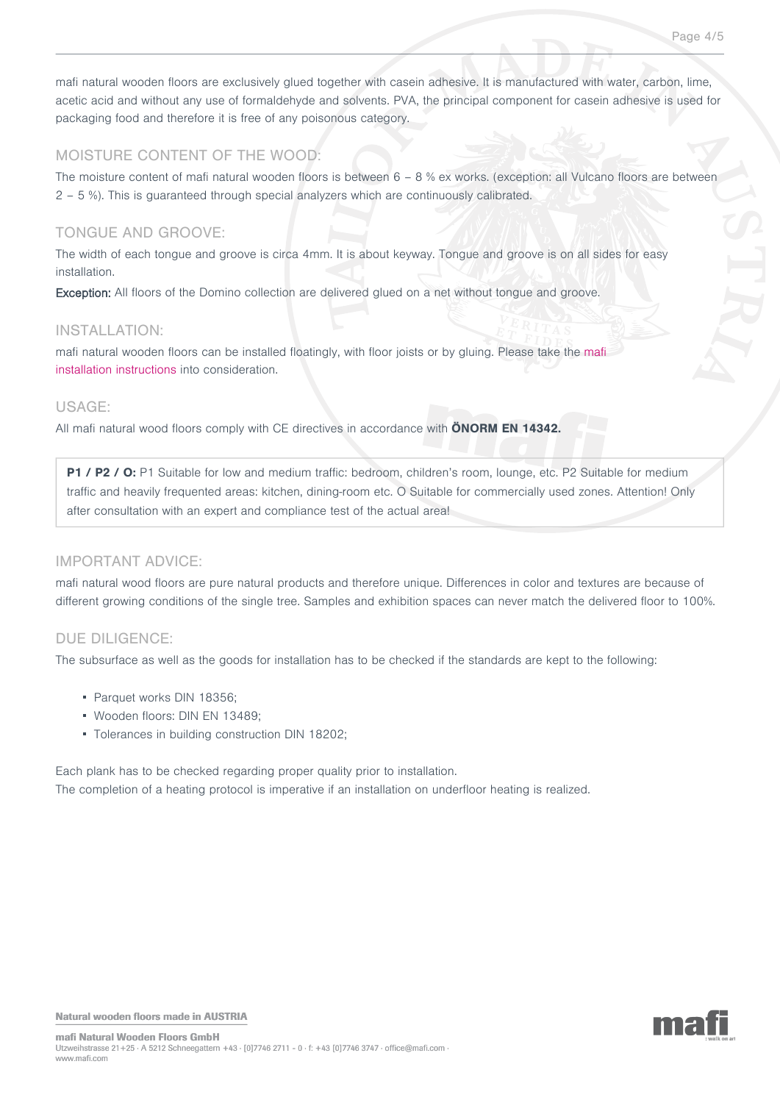mafi natural wooden floors are exclusively glued together with casein adhesive. It is manufactured with water, carbon, lime, acetic acid and without any use of formaldehyde and solvents. PVA, the principal component for casein adhesive is used for packaging food and therefore it is free of any poisonous category.

# MOISTURE CONTENT OF THE WOOD:

The moisture content of mafi natural wooden floors is between 6 – 8 % ex works. (exception: all Vulcano floors are between 2 – 5 %). This is guaranteed through special analyzers which are continuously calibrated.

# TONGUE AND GROOVE:

The width of each tongue and groove is circa 4mm. It is about keyway. Tongue and groove is on all sides for easy installation.

Exception: All floors of the Domino collection are delivered glued on a net without tongue and groove.

## INSTALLATION:

mafi natural wooden floors can be installed floatingly, with floor joists or by gluing. Please take the [mafi](http://www.grafikartelier.com/MAFI_INSTALL_VERLEGEFIBEL_2012.pdf) [installation instructions](http://www.grafikartelier.com/MAFI_INSTALL_VERLEGEFIBEL_2012.pdf) into consideration.

## USAGE:

All mafi natural wood floors comply with CE directives in accordance with **ÖNORM EN 14342.**

**P1 / P2 / O:** P1 Suitable for low and medium traffic: bedroom, children's room, lounge, etc. P2 Suitable for medium traffic and heavily frequented areas: kitchen, dining-room etc. O Suitable for commercially used zones. Attention! Only after consultation with an expert and compliance test of the actual area!

## IMPORTANT ADVICE:

mafi natural wood floors are pure natural products and therefore unique. Differences in color and textures are because of different growing conditions of the single tree. Samples and exhibition spaces can never match the delivered floor to 100%.

## DUE DILIGENCE:

The subsurface as well as the goods for installation has to be checked if the standards are kept to the following:

- Parquet works DIN 18356:
- Wooden floors: DIN EN 13489;
- Tolerances in building construction DIN 18202;

Each plank has to be checked regarding proper quality prior to installation. The completion of a heating protocol is imperative if an installation on underfloor heating is realized.